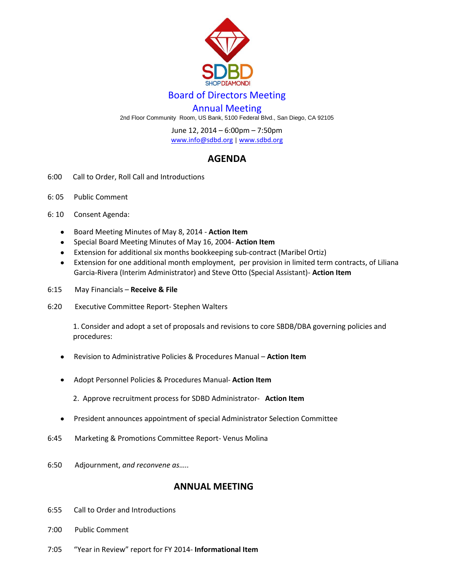

## Board of Directors Meeting

## Annual Meeting

2nd Floor Community Room, US Bank, 5100 Federal Blvd., San Diego, CA 92105

June 12, 2014 – 6:00pm – 7:50pm

[www.info@sdbd.org](about:blank) | [www.sdbd.org](http://www.sdbd.org/)

## **AGENDA**

- 6:00 Call to Order, Roll Call and Introductions
- 6: 05 Public Comment
- 6: 10 Consent Agenda:
	- Board Meeting Minutes of May 8, 2014 **Action Item**  $\bullet$
	- Special Board Meeting Minutes of May 16, 2004- **Action Item**  $\bullet$
	- Extension for additional six months bookkeeping sub-contract (Maribel Ortiz)
	- Extension for one additional month employment, per provision in limited term contracts, of Liliana  $\bullet$ Garcia-Rivera (Interim Administrator) and Steve Otto (Special Assistant)- **Action Item**
- 6:15 May Financials **Receive & File**
- 6:20 Executive Committee Report- Stephen Walters

 1. Consider and adopt a set of proposals and revisions to core SBDB/DBA governing policies and procedures:

- Revision to Administrative Policies & Procedures Manual **Action Item**
- Adopt Personnel Policies & Procedures Manual- **Action Item**
	- 2. Approve recruitment process for SDBD Administrator- **Action Item**
- President announces appointment of special Administrator Selection Committee
- 6:45 Marketing & Promotions Committee Report- Venus Molina
- 6:50 Adjournment, *and reconvene as…..*

## **ANNUAL MEETING**

- 6:55 Call to Order and Introductions
- 7:00 Public Comment
- 7:05 "Year in Review" report for FY 2014- **Informational Item**